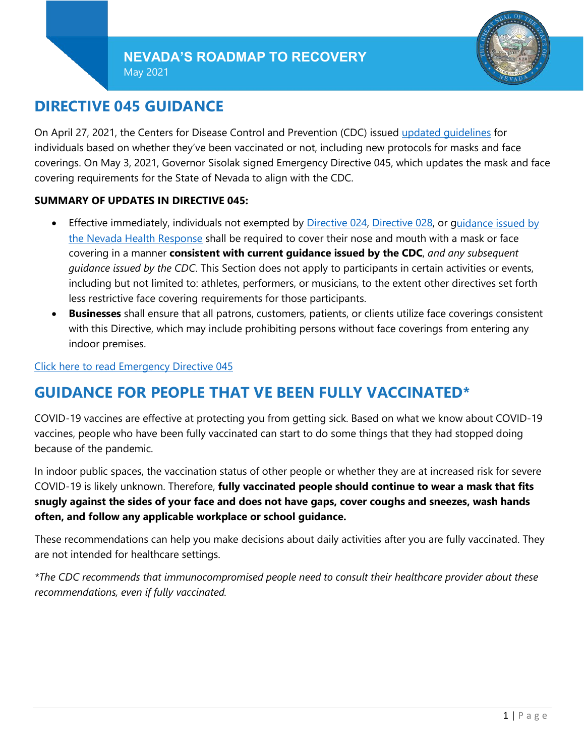May 2021



# **DIRECTIVE 045 GUIDANCE**

On April 27, 2021, the Centers for Disease Control and Prevention (CDC) issued [updated guidelines](https://www.cdc.gov/coronavirus/2019-ncov/vaccines/fully-vaccinated-guidance.html) for individuals based on whether they've been vaccinated or not, including new protocols for masks and face coverings. On May 3, 2021, Governor Sisolak signed Emergency Directive 045, which updates the mask and face covering requirements for the State of Nevada to align with the CDC.

#### **SUMMARY OF UPDATES IN DIRECTIVE 045:**

- Effective immediately, individuals not exempted by [Directive 024,](https://nvhealthresponse.nv.gov/wp-content/uploads/2020/06/Directive-024-Face-Coverings.pdf) [Directive 028,](https://nvhealthresponse.nv.gov/wp-content/uploads/2020/07/2020-07-28.Declaration-of-Emergency-Directive-028.pdf) or [guidance issued by](https://nvhealthresponse.nv.gov/wp-content/uploads/2020/06/Guidance-on-Directive-24-Face-Coverings-UPDATED.pdf)  [the Nevada Health Response](https://nvhealthresponse.nv.gov/wp-content/uploads/2020/06/Guidance-on-Directive-24-Face-Coverings-UPDATED.pdf) shall be required to cover their nose and mouth with a mask or face covering in a manner **consistent with current guidance issued by the CDC**, *and any subsequent guidance issued by the CDC*. This Section does not apply to participants in certain activities or events, including but not limited to: athletes, performers, or musicians, to the extent other directives set forth less restrictive face covering requirements for those participants.
- **Businesses** shall ensure that all patrons, customers, patients, or clients utilize face coverings consistent with this Directive, which may include prohibiting persons without face coverings from entering any indoor premises.

#### [Click here to read Emergency Directive 045](https://nvhealthresponse.nv.gov/wp-content/uploads/2021/05/Declaration-of-Emergency-Directive-045-JP.pdf)

# **GUIDANCE FOR PEOPLE THAT VE BEEN FULLY VACCINATED\***

COVID-19 vaccines are effective at protecting you from getting sick. Based on what we know about COVID-19 vaccines, people who have been fully vaccinated can start to do some things that they had stopped doing because of the pandemic.

In indoor public spaces, the vaccination status of other people or whether they are at increased risk for severe COVID-19 is likely unknown. Therefore, **fully vaccinated people should continue to wear a mask that fits snugly against the sides of your face and does not have gaps, cover coughs and sneezes, wash hands often, and follow any applicable workplace or school guidance.**

These recommendations can help you make decisions about daily activities after you are fully vaccinated. They are not intended for healthcare settings.

*\*The CDC recommends that immunocompromised people need to consult their healthcare provider about these recommendations, even if fully vaccinated.*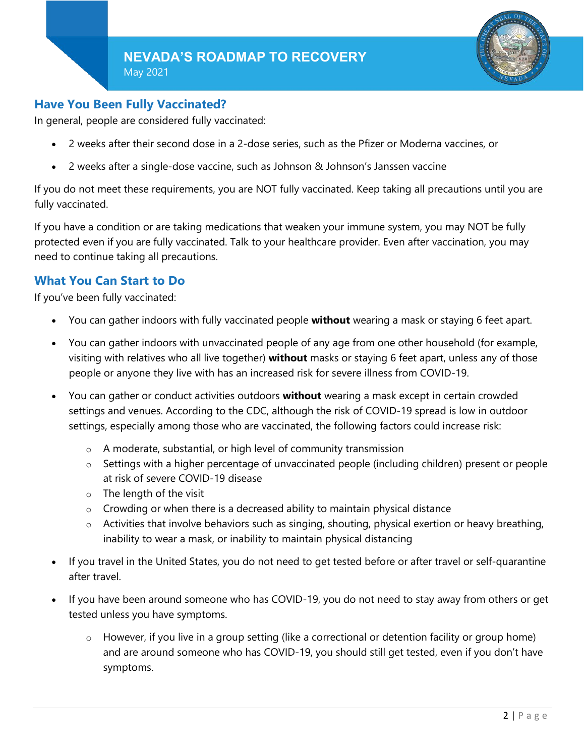

## **Have You Been Fully Vaccinated?**

In general, people are considered fully vaccinated:

- 2 weeks after their second dose in a 2-dose series, such as the Pfizer or Moderna vaccines, or
- 2 weeks after a single-dose vaccine, such as Johnson & Johnson's Janssen vaccine

If you do not meet these requirements, you are NOT fully vaccinated. Keep taking all precautions until you are fully vaccinated.

If you have a condition or are taking medications that weaken your immune system, you may NOT be fully protected even if you are fully vaccinated. Talk to your healthcare provider. Even after vaccination, you may need to continue taking all precautions.

## **What You Can Start to Do**

If you've been fully vaccinated:

- You can gather indoors with fully vaccinated people **without** wearing a mask or staying 6 feet apart.
- You can gather indoors with unvaccinated people of any age from one other household (for example, visiting with relatives who all live together) **without** masks or staying 6 feet apart, unless any of those people or anyone they live with has an increased risk for severe illness from COVID-19.
- You can gather or conduct activities outdoors **without** wearing a mask except in certain crowded settings and venues. According to the CDC, although the risk of COVID-19 spread is low in outdoor settings, especially among those who are vaccinated, the following factors could increase risk:
	- $\circ$  A moderate, substantial, or high level of community transmission
	- o Settings with a higher percentage of unvaccinated people (including children) present or people at risk of severe COVID-19 disease
	- $\circ$  The length of the visit
	- $\circ$  Crowding or when there is a decreased ability to maintain physical distance
	- $\circ$  Activities that involve behaviors such as singing, shouting, physical exertion or heavy breathing, inability to wear a mask, or inability to maintain physical distancing
- If you travel in the United States, you do not need to get tested before or after travel or self-quarantine after travel.
- If you have been around someone who has COVID-19, you do not need to stay away from others or get tested unless you have symptoms.
	- $\circ$  However, if you live in a group setting (like a correctional or detention facility or group home) and are around someone who has COVID-19, you should still get tested, even if you don't have symptoms.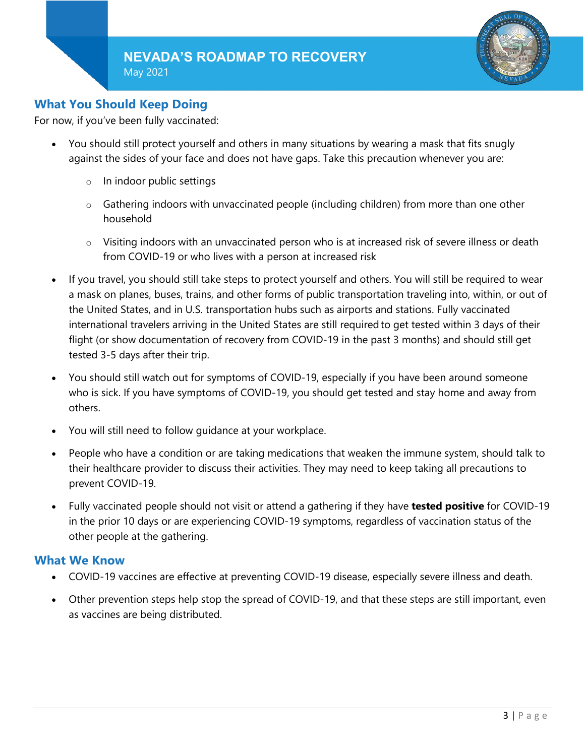

# **What You Should Keep Doing**

For now, if you've been fully vaccinated:

- You should still protect yourself and others in many situations by wearing a mask that fits snugly against the sides of your face and does not have gaps. Take this precaution whenever you are:
	- o In indoor public settings
	- $\circ$  Gathering indoors with unvaccinated people (including children) from more than one other household
	- $\circ$  Visiting indoors with an unvaccinated person who is at increased risk of severe illness or death from COVID-19 or who lives with a person at increased risk
- If you travel, you should still take steps to protect yourself and others. You will still be required to wear a mask on planes, buses, trains, and other forms of public transportation traveling into, within, or out of the United States, and in U.S. transportation hubs such as airports and stations. Fully vaccinated international travelers arriving in the United States are still required to get tested within 3 days of their flight (or show documentation of recovery from COVID-19 in the past 3 months) and should still get tested 3-5 days after their trip.
- You should still watch out for symptoms of COVID-19, especially if you have been around someone who is sick. If you have symptoms of COVID-19, you should get tested and stay home and away from others.
- You will still need to follow guidance at your workplace.
- People who have a condition or are taking medications that weaken the immune system, should talk to their healthcare provider to discuss their activities. They may need to keep taking all precautions to prevent COVID-19.
- Fully vaccinated people should not visit or attend a gathering if they have **tested positive** for COVID-19 in the prior 10 days or are experiencing COVID-19 symptoms, regardless of vaccination status of the other people at the gathering.

### **What We Know**

- COVID-19 vaccines are effective at preventing COVID-19 disease, especially severe illness and death.
- Other prevention steps help stop the spread of COVID-19, and that these steps are still important, even as vaccines are being distributed.